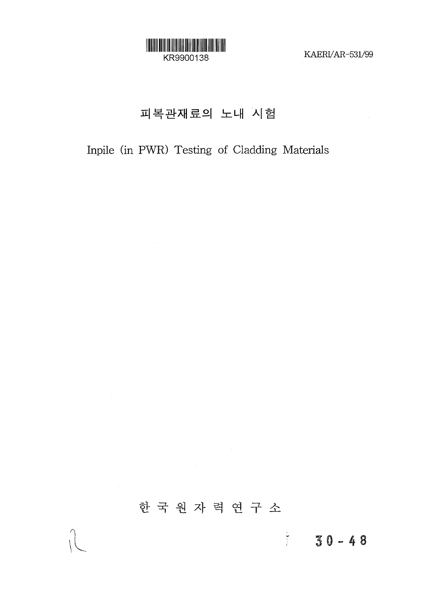

KAERI/AR-531/99

## 피복관재료의 노내 시험

## Inpile (in PWR) Testing of Cladding Materials

# 한국원자력연구소

 $\sim 10^{-10}$ 

 $\sim 10^{11}$  km

 $50 - 48$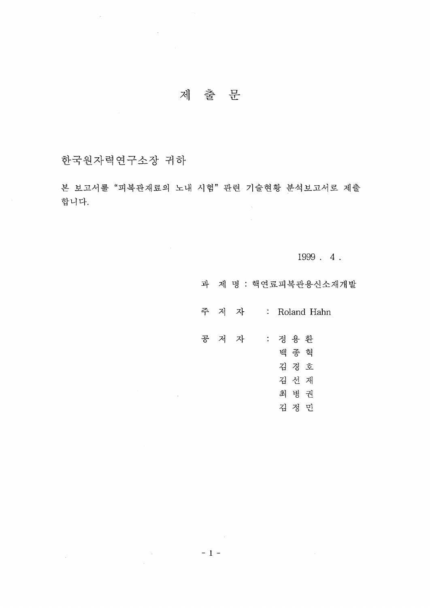## 제 출 문

한국원자력연구소장 귀하

 $\mathcal{L}^{\text{max}}_{\text{max}}$ 

 $\mathcal{A}_\mathrm{c}$ 

본 보고서를 "피복관재료의 노내 시험" 관련 기술현황 분석보고서로 제출 합니다.  $\mathcal{A}^{\dagger}$ 

 $1999.4.$ 

과 제 명 : 핵연료피복관용신소재개발

주 저 자 : Roland Hahn

 $\hat{\mathcal{A}}$ 

공 저 자 : 정용환 백 종 혁 김 경 호 김 선 재 최 병 권 김 정 민

 $= 1 -$ 

 $\mathcal{L}_{\text{max}}$  , where  $\mathcal{L}_{\text{max}}$ 

 $\sim 10$ 

 $\sim 10$ 

i<br>Ser

 $\sim$   $\sim$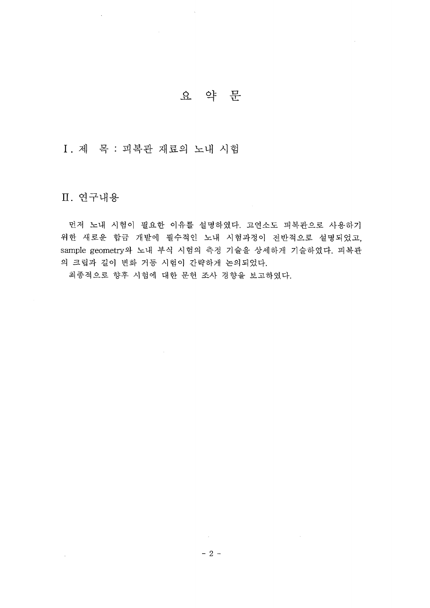## 요 약 문

I. 제 목 : 피복관 재료의 노내 시험

## Ⅱ. 연구내용

 $\bar{z}$ 

 $\mathcal{L}_{\mathrm{eff}}$ 

먼저 노내 시험이 필요한 이유를 설명하였다. 고연소도 피복관으로 사용하기 위한 새로운 합금 개발에 필수적인 노내 시험과정이 전반적으로 설명되었고, sample geometry와 노내 부식 시험의 측정 기술을 상세하게 기술하였다. 피복관 의 크립과 길이 변화 거동 시험이 간략하게 논의되었다.

최종적으로 향후 시험에 대한 문헌 조사 경향을 보고하였다.

 $\sim 10^{-1}$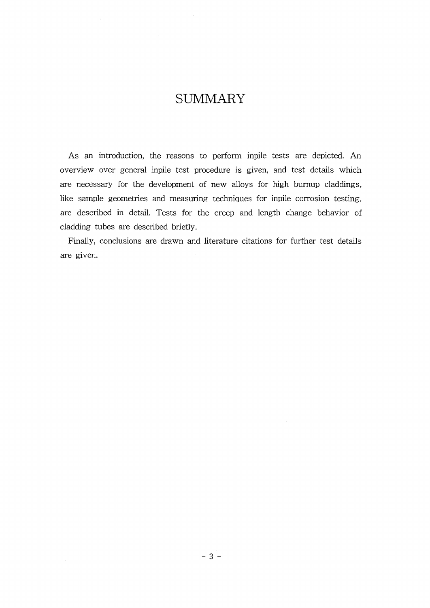## **SUMMARY**

As an introduction, the reasons to perform inpile tests are depicted. An overview over general inpile test procedure is given, and test details which are necessary for the development of new alloys for high burnup claddings, like sample geometries and measuring techniques for inpile corrosion testing, are described in detail. Tests for the creep and length change behavior of cladding tubes are described briefly.

Finally, conclusions are drawn and literature citations for further test details are given.

 $\bar{z}$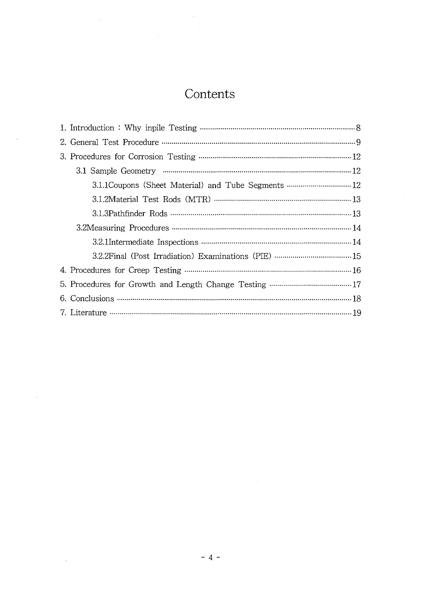# **Contents**

J.

 $\bar{z}$ 

 $\mathcal{L}$ 

| 3.1.1 Coupons (Sheet Material) and Tube Segments  12 |
|------------------------------------------------------|
|                                                      |
|                                                      |
|                                                      |
|                                                      |
|                                                      |
|                                                      |
|                                                      |
|                                                      |
|                                                      |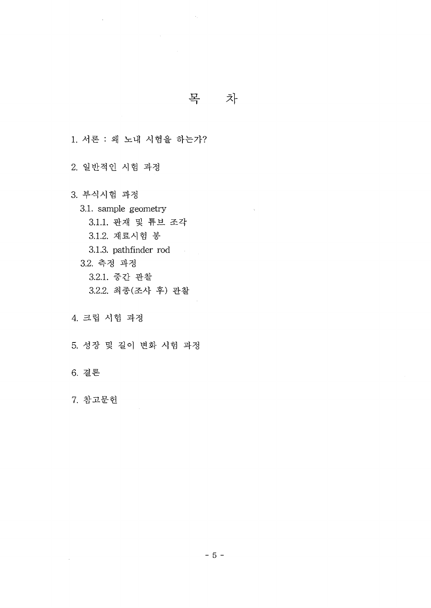목 차

1. 서론 : 왜 노내 시험을 하는가?

 $\sim$ 

2. 일반적인 시험 과정

3. 부식시험 과정 3.1. sample geometry 3.1.1. 판재 및 튜브 조각 3.1.2. 재료시험 봉 3.1.3. pathfinder rod 3.2. 측정 과정 3.2.1. 중간 관찰 3.2.2. 최종(조사 후) 관찰

**4.**

**5.**

**6.**

 $\bar{z}$ 

**7.**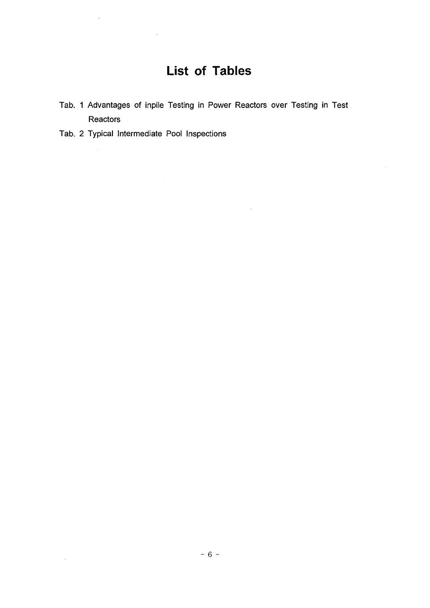# **List of Tables**

Tab. 1 Advantages of inpile Testing in Power Reactors over Testing in Test **Reactors** 

 $\sim$ 

Tab. 2 Typical Intermediate Pool Inspections

 $\sim$ 

 $\bar{z}$ 

 $\Delta \sim 1$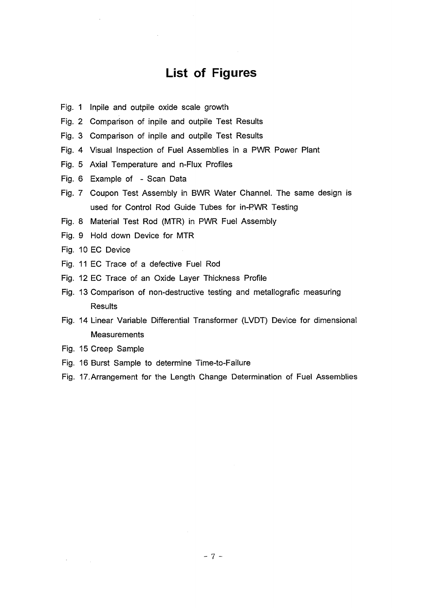## **List of Figures**

- Fig. 1 Inpile and outpile oxide scale growth
- Fig. 2 Comparison of inpile and outpile Test Results
- Fig. 3 Comparison of inpile and outpile Test Results
- Fig. 4 Visual Inspection of Fuel Assemblies in a PWR Power Plant
- Fig. 5 Axial Temperature and n-Flux Profiles
- Fig. 6 Example of Scan Data
- Fig. 7 Coupon Test Assembly in BWR Water Channel. The same design is used for Control Rod Guide Tubes for in-PWR Testing
- Fig. 8 Material Test Rod (MTR) in PWR Fuel Assembly
- Fig. 9 Hold down Device for MTR
- Fig. 10 EC Device
- Fig. 11 EC Trace of a defective Fuel Rod
- Fig. 12 EC Trace of an Oxide Layer Thickness Profile
- Fig. 13 Comparison of non-destructive testing and metallografic measuring **Results**
- Fig. 14 Linear Variable Differential Transformer (LVDT) Device for dimensional **Measurements**
- Fig. 15 Creep Sample

 $\bar{z}$ 

- Fig. 16 Burst Sample to determine Time-to-Failure
- Fig. 17.Arrangement for the Length Change Determination of Fuel Assemblies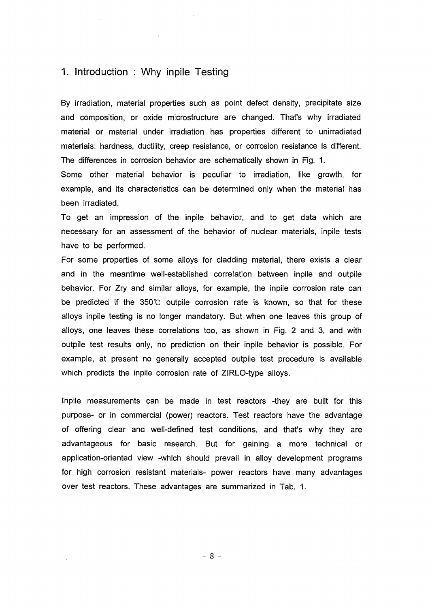### 1. Introduction : Why inpile Testing

By irradiation, material properties such as point defect density, precipitate size and composition, or oxide microstructure are changed. That's why irradiated material or material under irradiation has properties different to unirradiated materials: hardness, ductility, creep resistance, or corrosion resistance is different. The differences in corrosion behavior are schematically shown in Fig. 1.

Some other material behavior is peculiar to irradiation, like growth, for example, and its characteristics can be determined only when the material has been irradiated.

To get an impression of the inpile behavior, and to get data which are necessary for an assessment of the behavior of nuclear materials, inpile tests have to be performed.

For some properties of some alloys for cladding material, there exists a clear and in the meantime well-established correlation between inpile and outpile behavior. For Zry and similar alloys, for example, the inpile corrosion rate can be predicted if the 350°C outpile corrosion rate is known, so that for these alloys inpile testing is no longer mandatory. But when one leaves this group of alloys, one leaves these correlations too, as shown in Fig. 2 and 3, and with outpile test results only, no prediction on their inpile behavior is possible. For example, at present no generally accepted outpile test procedure is available which predicts the inpile corrosion rate of ZIRLO-type alloys.

Inpile measurements can be made in test reactors -they are built for this purpose- or in commercial (power) reactors. Test reactors have the advantage of offering clear and well-defined test conditions, and that's why they are advantageous for basic research. But for gaining a more technical or application-oriented view -which should prevail in alloy development programs for high corrosion resistant materials- power reactors have many advantages over test reactors. These advantages are summarized in Tab. 1.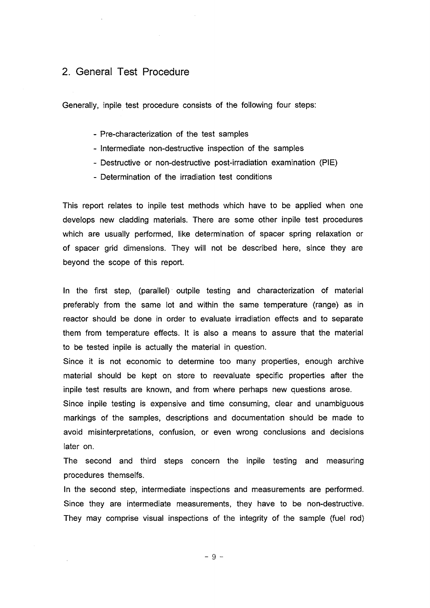### 2. General Test Procedure

Generally, inpile test procedure consists of the following four steps:

- Pre-characterization of the test samples
- Intermediate non-destructive inspection of the samples
- Destructive or non-destructive post-irradiation examination (PIE)
- Determination of the irradiation test conditions

This report relates to inpile test methods which have to be applied when one develops new cladding materials. There are some other inpile test procedures which are usually performed, like determination of spacer spring relaxation or of spacer grid dimensions. They will not be described here, since they are beyond the scope of this report.

In the first step, (parallel) outpile testing and characterization of material preferably from the same lot and within the same temperature (range) as in reactor should be done in order to evaluate irradiation effects and to separate them from temperature effects. It is also a means to assure that the material to be tested inpile is actually the material in question.

Since it is not economic to determine too many properties, enough archive material should be kept on store to reevaluate specific properties after the inpile test results are known, and from where perhaps new questions arose.

Since inpile testing is expensive and time consuming, clear and unambiguous markings of the samples, descriptions and documentation should be made to avoid misinterpretations, confusion, or even wrong conclusions and decisions later on.

The second and third steps concern the inpile testing and measuring procedures themselfs.

In the second step, intermediate inspections and measurements are performed. Since they are intermediate measurements, they have to be non-destructive. They may comprise visual inspections of the integrity of the sample (fuel rod)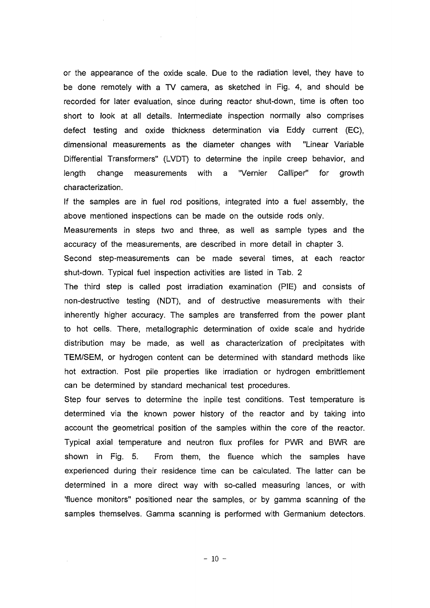or the appearance of the oxide scale. Due to the radiation level, they have to be done remotely with a TV camera, as sketched in Fig. 4, and should be recorded for later evaluation, since during reactor shut-down, time is often too short to look at all details. Intermediate inspection normally also comprises defect testing and oxide thickness determination via Eddy current (EC), dimensional measurements as the diameter changes with "Linear Variable Differential Transformers" (LVDT) to determine the inpile creep behavior, and length change measurements with a "Vernier Calliper" for growth characterization.

If the samples are in fuel rod positions, integrated into a fuel assembly, the above mentioned inspections can be made on the outside rods only.

Measurements in steps two and three, as well as sample types and the accuracy of the measurements, are described in more detail in chapter 3.

Second step-measurements can be made several times, at each reactor shut-down. Typical fuel inspection activities are listed in Tab. 2

The third step is called post irradiation examination (PIE) and consists of non-destructive testing (NDT), and of destructive measurements with their inherently higher accuracy. The samples are transferred from the power plant to hot cells. There, metallographic determination of oxide scale and hydride distribution may be made, as well as characterization of precipitates with TEM/SEM, or hydrogen content can be determined with standard methods like hot extraction. Post pile properties like irradiation or hydrogen embrittlement can be determined by standard mechanical test procedures.

Step four serves to determine the inpile test conditions. Test temperature is determined via the known power history of the reactor and by taking into account the geometrical position of the samples within the core of the reactor. Typical axial temperature and neutron flux profiles for PWR and BWR are shown in Fig. 5. From them, the fluence which the samples have experienced during their residence time can be calculated. The latter can be determined in a more direct way with so-called measuring lances, or with 'fluence monitors" positioned near the samples, or by gamma scanning of the samples themselves. Gamma scanning is performed with Germanium detectors.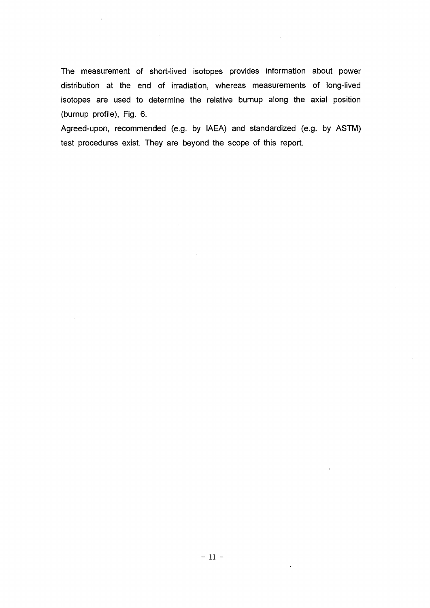The measurement of short-lived isotopes provides information about power distribution at the end of irradiation, whereas measurements of long-lived isotopes are used to determine the relative burnup along the axial position (burnup profile), Fig. 6.

 $\hat{\mathcal{A}}$ 

 $\sim$ 

Agreed-upon, recommended (e.g. by IAEA) and standardized (e.g. by ASTM) test procedures exist. They are beyond the scope of this report.

 $\bar{\beta}$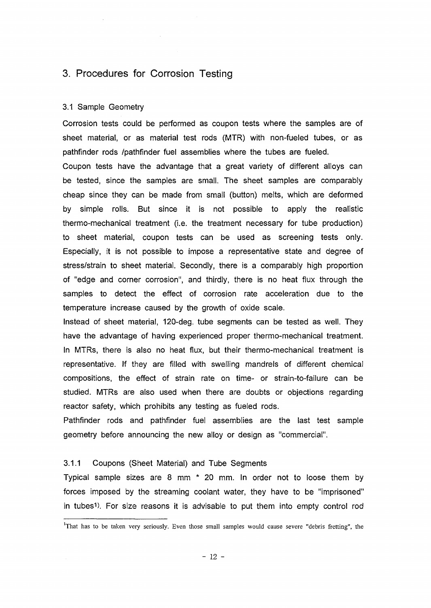### 3. Procedures for Corrosion Testing

#### 3.1 Sample Geometry

Corrosion tests could be performed as coupon tests where the samples are of sheet material, or as material test rods (MTR) with non-fueled tubes, or as pathfinder rods /pathfinder fuel assemblies where the tubes are fueled.

Coupon tests have the advantage that a great variety of different alloys can be tested, since the samples are small. The sheet samples are comparably cheap since they can be made from small (button) melts, which are deformed by simple rolls. But since it is not possible to apply the realistic thermo-mechanical treatment (i.e. the treatment necessary for tube production) to sheet material, coupon tests can be used as screening tests only. Especially, it is not possible to impose a representative state and degree of stress/strain to sheet material. Secondly, there is a comparably high proportion of "edge and corner corrosion", and thirdly, there is no heat flux through the samples to detect the effect of corrosion rate acceleration due to the temperature increase caused by the growth of oxide scale.

Instead of sheet material, 120-deg. tube segments can be tested as well. They have the advantage of having experienced proper thermo-mechanical treatment. In MTRs, there is also no heat flux, but their thermo-mechanical treatment is representative. If they are filled with swelling mandrels of different chemical compositions, the effect of strain rate on time- or strain-to-failure can be studied. MTRs are also used when there are doubts or objections regarding reactor safety, which prohibits any testing as fueled rods.

Pathfinder rods and pathfinder fuel assemblies are the last test sample geometry before announcing the new alloy or design as "commercial".

#### 3.1.1 Coupons (Sheet Material) and Tube Segments

Typical sample sizes are 8 mm \* 20 mm. In order not to loose them by forces imposed by the streaming coolant water, they have to be "imprisoned" in tubes<sup>1</sup> ). For size reasons it is advisable to put them into empty control rod

<sup>&</sup>lt;sup>1</sup>That has to be taken very seriously. Even those small samples would cause severe "debris fretting", the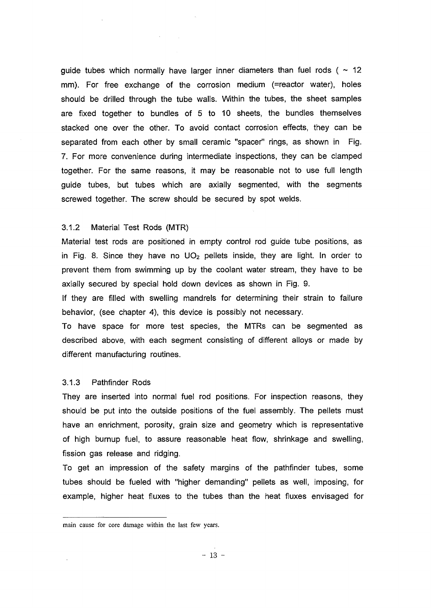guide tubes which normally have larger inner diameters than fuel rods ( $\sim$  12 mm). For free exchange of the corrosion medium (=reactor water), holes should be drilled through the tube walls. Within the tubes, the sheet samples are fixed together to bundles of 5 to 10 sheets, the bundles themselves stacked one over the other. To avoid contact corrosion effects, they can be separated from each other by small ceramic "spacer" rings, as shown in Fig. 7. For more convenience during intermediate inspections, they can be clamped together. For the same reasons, it may be reasonable not to use full length guide tubes, but tubes which are axially segmented, with the segments screwed together. The screw should be secured by spot welds.

#### 3.1.2 Material Test Rods (MTR)

Material test rods are positioned in empty control rod guide tube positions, as in Fig. 8. Since they have no  $UO<sub>2</sub>$  pellets inside, they are light. In order to prevent them from swimming up by the coolant water stream, they have to be axially secured by special hold down devices as shown in Fig. 9.

If they are filled with swelling mandrels for determining their strain to failure behavior, (see chapter 4), this device is possibly not necessary.

To have space for more test species, the MTRs can be segmented as described above, with each segment consisting of different alloys or made by different manufacturing routines.

#### 3.1.3 Pathfinder Rods

They are inserted into normal fuel rod positions. For inspection reasons, they should be put into the outside positions of the fuel assembly. The pellets must have an enrichment, porosity, grain size and geometry which is representative of high burnup fuel, to assure reasonable heat flow, shrinkage and swelling, fission gas release and ridging.

To get an impression of the safety margins of the pathfinder tubes, some tubes should be fueled with "higher demanding" pellets as well, imposing, for example, higher heat fluxes to the tubes than the heat fluxes envisaged for

main cause for core damage within the last few years.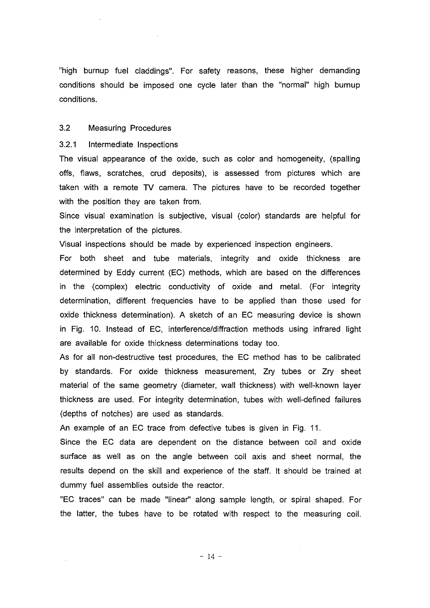"high bumup fuel claddings". For safety reasons, these higher demanding conditions should be imposed one cycle later than the "normal" high burnup conditions.

#### 3.2 Measuring Procedures

#### 3.2.1 Intermediate Inspections

The visual appearance of the oxide, such as color and homogeneity, (spalling offs, flaws, scratches, crud deposits), is assessed from pictures which are taken with a remote TV camera. The pictures have to be recorded together with the position they are taken from.

Since visual examination is subjective, visual (color) standards are helpful for the interpretation of the pictures.

Visual inspections should be made by experienced inspection engineers.

For both sheet and tube materials, integrity and oxide thickness are determined by Eddy current (EC) methods, which are based on the differences in the (complex) electric conductivity of oxide and metal. (For integrity determination, different frequencies have to be applied than those used for oxide thickness determination). A sketch of an EC measuring device is shown in Fig. 10. Instead of EC, interference/diffraction methods using infrared light are available for oxide thickness determinations today too.

As for ail non-destructive test procedures, the EC method has to be calibrated by standards. For oxide thickness measurement, Zry tubes or Zry sheet material of the same geometry (diameter, wall thickness) with well-known layer thickness are used. For integrity determination, tubes with well-defined failures (depths of notches) are used as standards.

An example of an EC trace from defective tubes is given in Fig. 11.

Since the EC data are dependent on the distance between coil and oxide surface as well as on the angle between coil axis and sheet normal, the results depend on the skill and experience of the staff. It should be trained at dummy fuel assemblies outside the reactor.

"EC traces" can be made "linear" along sample length, or spiral shaped. For the latter, the tubes have to be rotated with respect to the measuring coil.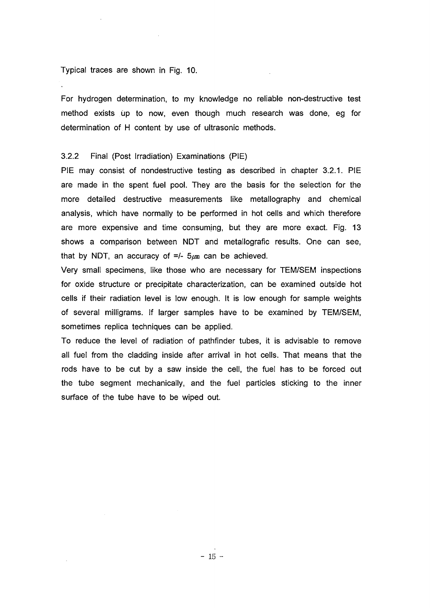#### Typical traces are shown in Fig. 10.

For hydrogen determination, to my knowledge no reliable non-destructive test method exists up to now, even though much research was done, eg for determination of H content by use of ultrasonic methods.

#### 3.2.2 Final (Post irradiation) Examinations (PIE)

PIE may consist of nondestructive testing as described in chapter 3.2.1. PIE are made in the spent fuel pool. They are the basis for the selection for the more detailed destructive measurements like metallography and chemical analysis, which have normally to be performed in hot cells and which therefore are more expensive and time consuming, but they are more exact. Fig. 13 shows a comparison between NDT and metallografic results. One can see, that by NDT, an accuracy of  $=/-5$   $\mu$ m can be achieved.

Very small specimens, like those who are necessary for TEM/SEM inspections for oxide structure or precipitate characterization, can be examined outside hot cells if their radiation level is low enough. It is low enough for sample weights of several milligrams. If larger samples have to be examined by TEM/SEM, sometimes replica techniques can be applied.

To reduce the level of radiation of pathfinder tubes, it is advisable to remove all fuel from the cladding inside after arrival in hot cells. That means that the rods have to be cut by a saw inside the cell, the fuel has to be forced out the tube segment mechanically, and the fuel particles sticking to the inner surface of the tube have to be wiped out.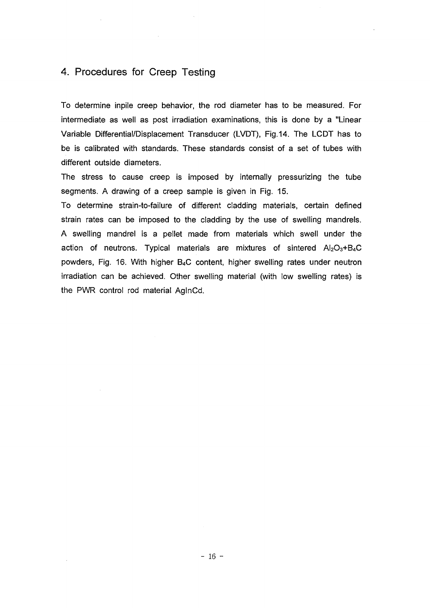### 4. Procedures for Creep Testing

To determine inpile creep behavior, the rod diameter has to be measured. For intermediate as well as post irradiation examinations, this is done by a "Linear Variable Differential/Displacement Transducer (LVDT), Fig.14. The LCDT has to be is calibrated with standards. These standards consist of a set of tubes with different outside diameters.

The stress to cause creep is imposed by internally pressurizing the tube segments. A drawing of a creep sample is given in Fig. 15.

To determine strain-to-failure of different cladding materials, certain defined strain rates can be imposed to the cladding by the use of swelling mandrels. A swelling mandrel is a pellet made from materials which swell under the action of neutrons. Typical materials are mixtures of sintered  $Al_2O_3 + B_4C$ powders, Fig. 16. With higher B4C content, higher swelling rates under neutron irradiation can be achieved. Other swelling material (with low swelling rates) is the PWR control rod material AglnCd.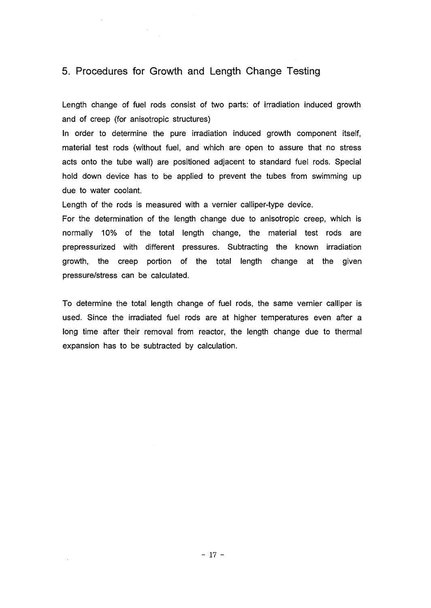### 5. Procedures for Growth and Length Change Testing

 $\sim$ 

Length change of fuel rods consist of two parts: of irradiation induced growth and of creep (for anisotropic structures)

In order to determine the pure irradiation induced growth component itself, material test rods (without fuel, and which are open to assure that no stress acts onto the tube wall) are positioned adjacent to standard fuel rods. Special hold down device has to be applied to prevent the tubes from swimming up due to water coolant.

Length of the rods is measured with a vernier calliper-type device.

For the determination of the length change due to anisotropic creep, which is normally 10% of the total length change, the material test rods are prepressurized with different pressures. Subtracting the known irradiation growth, the creep portion of the total length change at the given pressure/stress can be calculated.

To determine the total length change of fuel rods, the same vernier calliper is used. Since the irradiated fuel rods are at higher temperatures even after a long time after their removal from reactor, the length change due to thermal expansion has to be subtracted by calculation.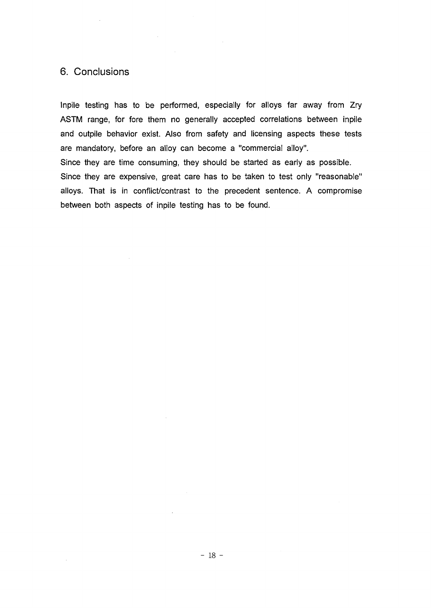### 6. Conclusions

 $\sim$ 

 $\mathcal{A}^{\text{out}}$ 

Inpile testing has to be performed, especially for alloys far away from Zry ASTM range, for fore them no generally accepted correlations between inpile and outpile behavior exist. Also from safety and licensing aspects these tests are mandatory, before an alloy can become a "commercial alloy". Since they are time consuming, they should be started as early as possible. Since they are expensive, great care has to be taken to test only "reasonable" alloys. That is in conflict/contrast to the precedent sentence. A compromise between both aspects of inpile testing has to be found.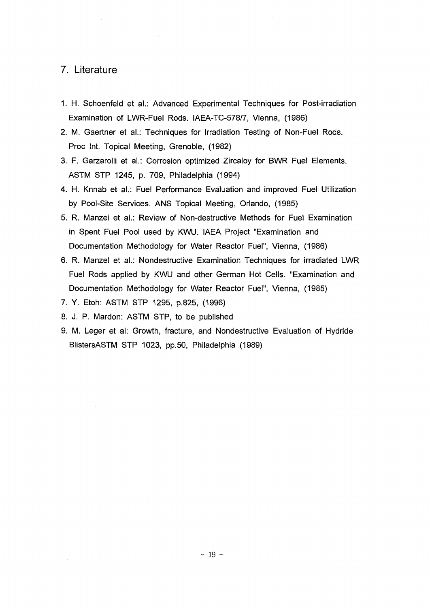### 7. Literature

- 1. H. Schoenfeld et a!.: Advanced Experimental Techniques for Post-irradiation Examination of LWR-Fuel Rods. IAEA-TC-578/7, Vienna, (1986)
- 2. M. Gaertner et al.: Techniques for Irradiation Testing of Non-Fuel Rods. Proc Int. Topical Meeting, Grenoble, (1982)
- 3. F. Garzarolli et a!.: Corrosion optimized Zircaloy for BWR Fuel Elements. ASTM STP 1245, p. 709, Philadelphia (1994)
- 4. H. Knnab et al.: Fuel Performance Evaluation and improved Fuel Utilization by Pool-Site Services. ANS Topical Meeting, Orlando, (1985)
- 5. R. Manzel et al.: Review of Non-destructive Methods for Fuel Examination in Spent Fuel Pool used by KWU. IAEA Project "Examination and Documentation Methodology for Water Reactor Fuel", Vienna, (1986)
- 6. R. Manzel et al.: Nondestructive Examination Techniques for irradiated LWR Fuel Rods applied by KWU and other German Hot Cells. "Examination and Documentation Methodology for Water Reactor Fuel", Vienna, (1985)
- 7. Y. Etoh: ASTM STP 1295, p.825, (1996)
- 8. J. P. Mardon: ASTM STP, to be published
- 9. M. Leger et al: Growth, fracture, and Nondestructive Evaluation of Hydride BlistersASTM STP 1023, pp.50, Philadelphia (1989)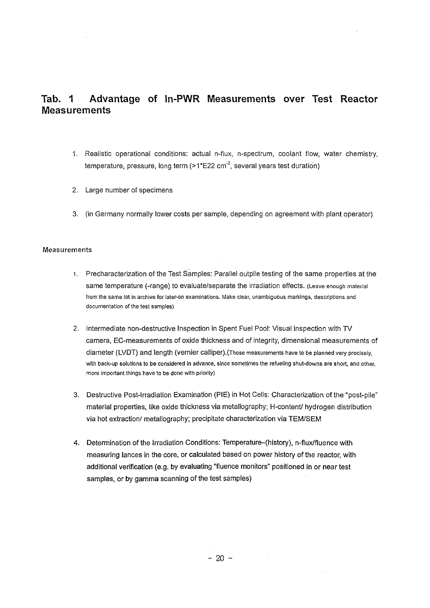## **Tab. 1 Advantage of In-PWR Measurements over Test Reactor Measurements**

- 1. Realistic operational conditions: actual n-flux, n-spectrum, coolant flow, water chemistry, temperature, pressure, long term (>1\*E22 cm<sup>-2</sup>, several years test duration)
- 2. Large number of specimens
- 3. (in Germany normally lower costs per sample, depending on agreement with plant operator)

#### Measurements

- 1. Precharacterization of the Test Samples: Parallel outpile testing of the same properties at the same temperature (-range) to evaluate/separate the irradiation effects. (Leave enough material from the same lot in archive for later-on examinations. Make clear, unambiguous markings, descriptions and documentation of the test samples)
- 2. Intermediate non-destructive Inspection in Spent Fuel Pool: Visual inspection with TV camera, EC-measurements of oxide thickness and of integrity, dimensional measurements of diameter (LVDT) and length (vernier Calliper).(Those measurements have to be planned very precisely, with back-up solutions to be considered in advance, since sometimes the refueling shut-downs are short, and other, more important things have to be done with priority)
- 3. Destructive Post-Irradiation Examination (PIE) in Hot Cells: Characterization of the "post-pile" material properties, like oxide thickness via metallography; H-content/ hydrogen distribution via hot extraction/ metallography; precipitate characterization via TEM/SEM
- 4. Determination of the Irradiation Conditions: Temperature-(history), n-flux/fluence with measuring lances in the core, or calculated based on power history of the reactor, with additional verification (e.g. by evaluating "fluence monitors" positioned in or near test samples, or by gamma scanning of the test samples)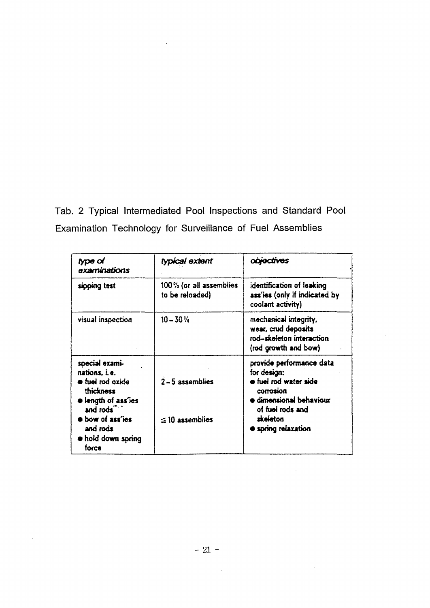Tab. 2 Typical Intermediated Pool Inspections and Standard Pool Examination Technology for Surveillance of Fuel Assemblies

 $\hat{\mathcal{A}}$ 

 $\mathcal{A}^{\mathcal{A}}$ 

 $\hat{\mathcal{A}}$ 

 $\sim$ 

| type of<br>examinations                                                                                                                                                                                     | typical extent                             | obvectives                                                                                                                                                            |
|-------------------------------------------------------------------------------------------------------------------------------------------------------------------------------------------------------------|--------------------------------------------|-----------------------------------------------------------------------------------------------------------------------------------------------------------------------|
| sipping test                                                                                                                                                                                                | 100% (or all assemblies<br>to be reloaded) | identification of leaking<br>ass'ies (only if indicated by<br>coolant activity)                                                                                       |
| visual inspection                                                                                                                                                                                           | $10 - 30 \%$                               | mechanical integrity,<br>wear, crud deposits<br>rod-skeleton interaction<br>(rod growth and bow)                                                                      |
| special exami-<br>nations, i.e.<br>$\bullet$ fuel rod oxide<br><i>thickness</i><br>length of ass'ies<br>and rods <sup>7</sup><br><b>•</b> bow of ass'ies<br>and rods<br>$\bullet$ hold down spring<br>force | $2 - 5$ assemblies<br>$\leq$ 10 assemblies | provide performance data<br>for design:<br>o fuel rod water side<br>corrosion<br>a dimensional behaviour<br>of fuel rods and<br>skeieton<br><b>Expring relaxation</b> |

 $\bar{\mathcal{A}}$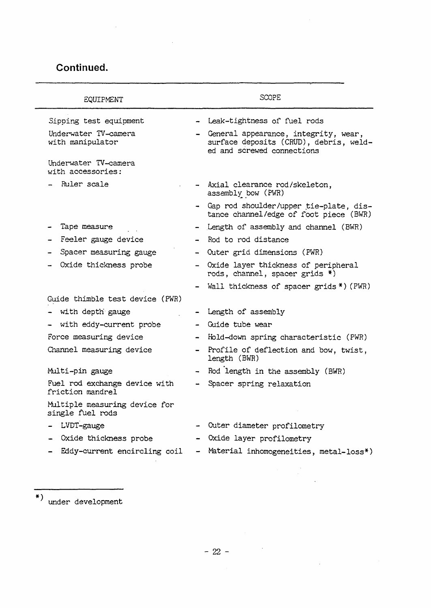## **Continued.**

| EQUIPMENT                                         | <b>SCOPE</b>             |                                                                                                              |  |  |
|---------------------------------------------------|--------------------------|--------------------------------------------------------------------------------------------------------------|--|--|
| Sipping test equipment                            |                          | - Leak-tightness of fuel rods                                                                                |  |  |
| Underwater TV-camera<br>with manipulator          | $\overline{\phantom{a}}$ | General appearance, integrity, wear,<br>surface deposits (CRUD), debris, weld-<br>ed and screwed connections |  |  |
| Underwater TV-camera<br>with accessories:         |                          |                                                                                                              |  |  |
| Ruler scale                                       |                          | - Axial clearance rod/skeleton,<br>assembly bow (PWR)                                                        |  |  |
|                                                   |                          | - Gap rod shoulder/upper tie-plate, dis-<br>tance channel/edge of foot piece (BWR)                           |  |  |
| Tape measure                                      |                          | - Length of assembly and channel (BWR)                                                                       |  |  |
| Feeler gauge device                               |                          | - Rod to rod distance                                                                                        |  |  |
| Spacer measuring gauge                            |                          | - Outer grid dimensions (PWR)                                                                                |  |  |
| Oxide thickness probe                             |                          | - Oxide layer thickness of peripheral<br>rods, channel, spacer grids *)                                      |  |  |
|                                                   |                          | - Wall thickness of spacer grids *) (PWR)                                                                    |  |  |
| Guide thimble test device (PWR)                   |                          |                                                                                                              |  |  |
| with depth gauge                                  |                          | - Length of assembly                                                                                         |  |  |
| - with eddy-current probe                         |                          | - Guide tube wear                                                                                            |  |  |
| Force measuring device                            | $\blacksquare$           | Hold-down spring characteristic (PWR)                                                                        |  |  |
| Channel measuring device                          | $\blacksquare$           | Profile of deflection and bow, twist,<br>length (BWR)                                                        |  |  |
| Multi-pin gauge                                   |                          | Rod length in the assembly (BWR)                                                                             |  |  |
| Fuel rod exchange device with<br>friction mandrel |                          | Spacer spring relaxation                                                                                     |  |  |
| Multiple measuring device for<br>single fuel rods |                          |                                                                                                              |  |  |
| LVDT-gauge                                        |                          | Outer diameter profilometry                                                                                  |  |  |
| Oxide thickness probe                             |                          | Oxide layer profilometry                                                                                     |  |  |
| Eddy-current encircling coil                      |                          | Material inhomogeneities, metal-loss*)                                                                       |  |  |

under development

 $\label{eq:2.1} \frac{1}{\sqrt{2}}\left(\frac{1}{\sqrt{2}}\right)^{2} \left(\frac{1}{\sqrt{2}}\right)^{2} \left(\frac{1}{\sqrt{2}}\right)^{2} \left(\frac{1}{\sqrt{2}}\right)^{2} \left(\frac{1}{\sqrt{2}}\right)^{2} \left(\frac{1}{\sqrt{2}}\right)^{2} \left(\frac{1}{\sqrt{2}}\right)^{2} \left(\frac{1}{\sqrt{2}}\right)^{2} \left(\frac{1}{\sqrt{2}}\right)^{2} \left(\frac{1}{\sqrt{2}}\right)^{2} \left(\frac{1}{\sqrt{2}}\right)^{2} \left(\$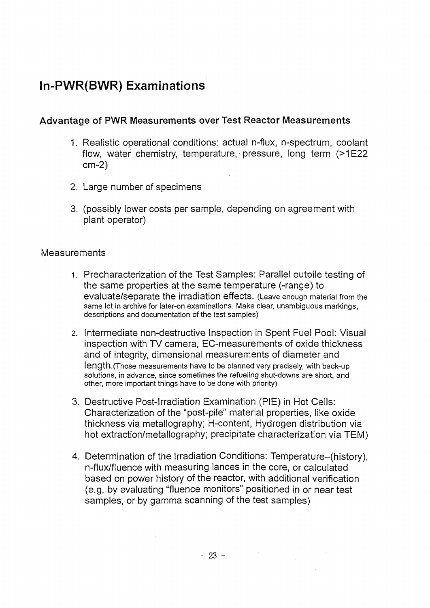## **In-PWR(BWR) Examinations**

## **Advantage of PWR Measurements over Test Reactor Measurements**

- 1. Realistic operational conditions: actual n-flux, n-spectrum, coolant flow, water chemistry, temperature, pressure, long term (>1E22 cm-2)
- 2. Large number of specimens
- 3. (possibly lower costs per sample, depending on agreement with plant operator)

### **Measurements**

- 1. Precharacterization of the Test Samples: Parallel outpile testing of the same properties at the same temperature (-range) to evaluate/separate the irradiation effects. (Leave enough material from the same lot in archive for later-on examinations. Make clear, unambiguous markings, descriptions and documentation of the test samples)
- 2. Intermediate non-destructive Inspection in Spent Fuel Pool: Visual inspection with TV camera, EC-measurements of oxide thickness and of integrity, dimensional measurements of diameter and length.(Those measurements have to be planned very precisely, with back-up solutions, in advance, since sometimes the refueling shut-downs are short, and other, more important things have to be done with priority)
- 3. Destructive Post-Irradiation Examination (PIE) in Hot Cells: Characterization of the "post-pile" material properties, like oxide thickness via metallography; H-content, Hydrogen distribution via hot extraction/metallography; precipitate characterization via TEM)
- 4. Determination of the Irradiation Conditions: Temperature-(history), n-flux/fluence with measuring lances in the core, or calculated based on power history of the reactor, with additional verification (e.g. by evaluating "fluence monitors" positioned in or near test samples, or by gamma scanning of the test samples)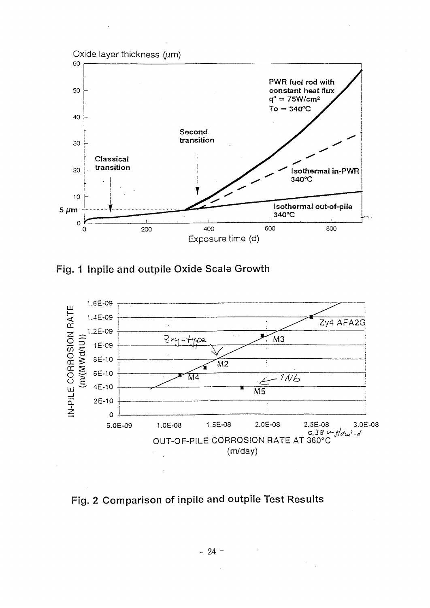

Fig. 1 Inpile and outpile Oxide Scale Growth



Fig. 2 Comparison of inpile and outpile Test Results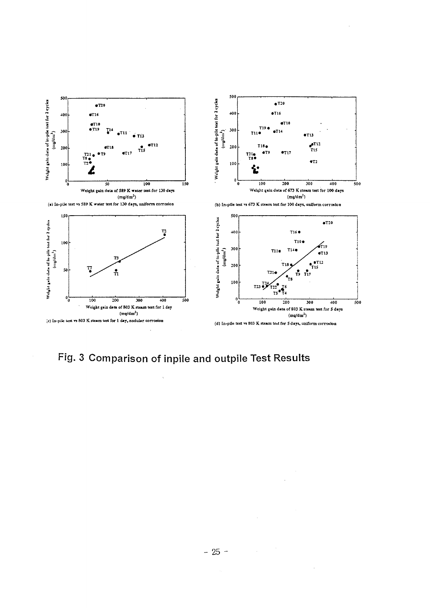

# Fig. 3 Comparison of inpile and outpile Test Results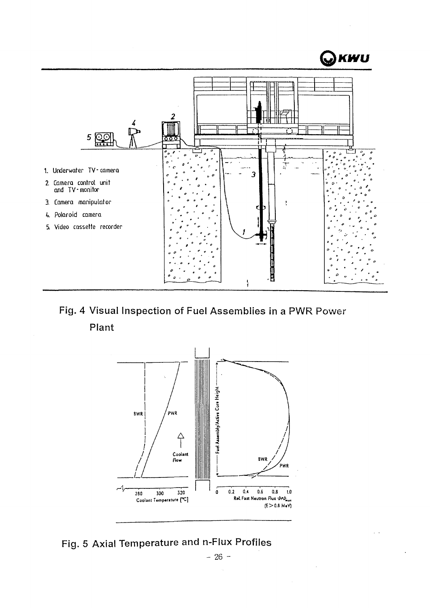

Fig. 4 Visual Inspection of Fuel Assemblies in a PWR Power Plant



Fig. 5 Axial Temperature and n-Flux Profiles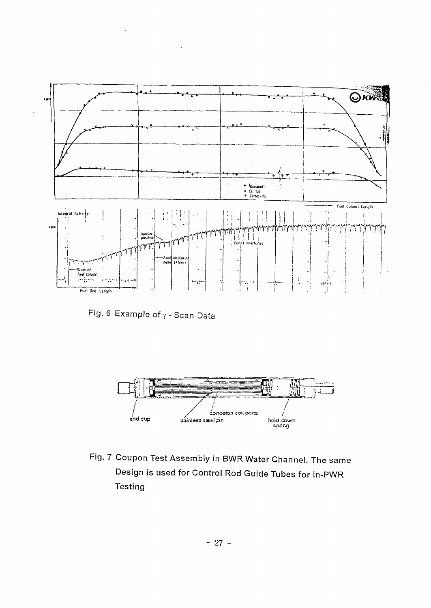

Fig. 6 Example of  $\gamma$  - Scan Data

 $\sim$ 



Fig. 7 Coupon Test Assembly in BWR Water Channel. The same Design is used for Control Rod Guide Tubes for in-PWR Testing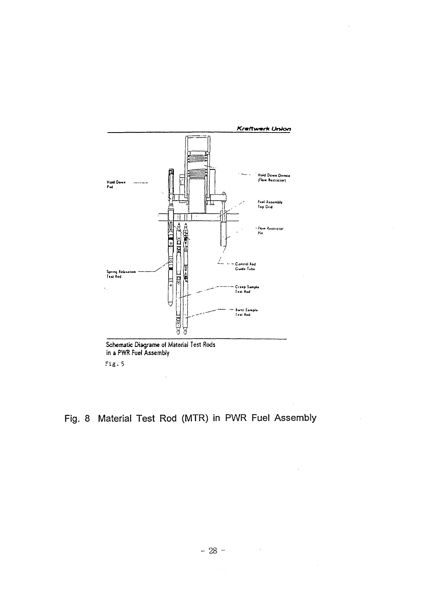

Fig. 8 Material Test Rod (MTR) in PWR Fuel Assembly

 $\hat{\mathcal{A}}$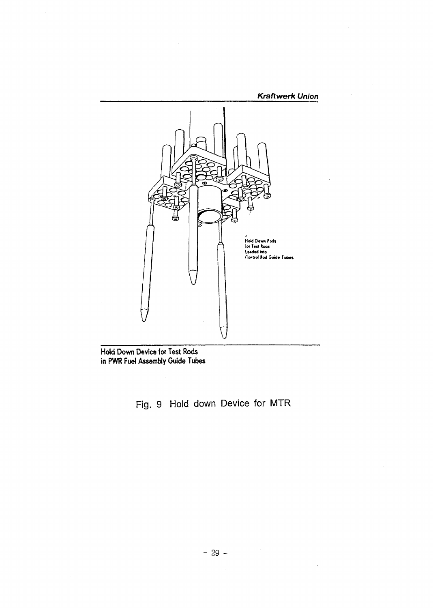

Hold Down Device for Test Rods in PWR Fuel Assembly Guide Tubes

Fig. 9 Hold down Device for MTR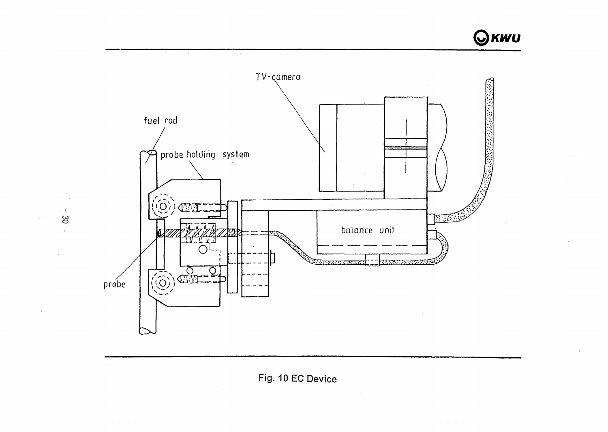OKWU



Fig. 10 EC Device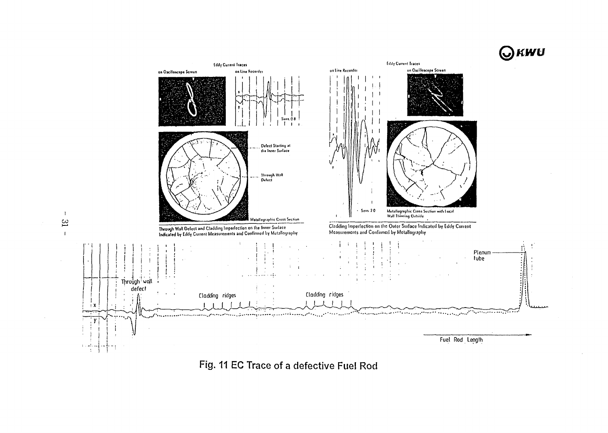



Fig. 11 EC Trace of a defective Fuel Rod

 $\mathbf{I}$  $\mathfrak{B}$  $\mathbf{r}$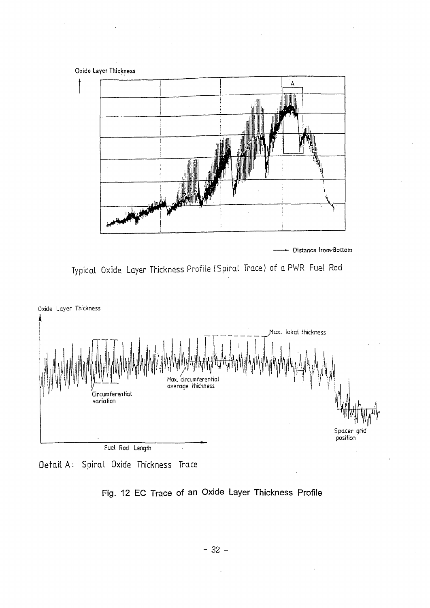

- Distance from-Bottom







## **Fig. 12 EC Trace of an Oxide Layer Thickness Profile**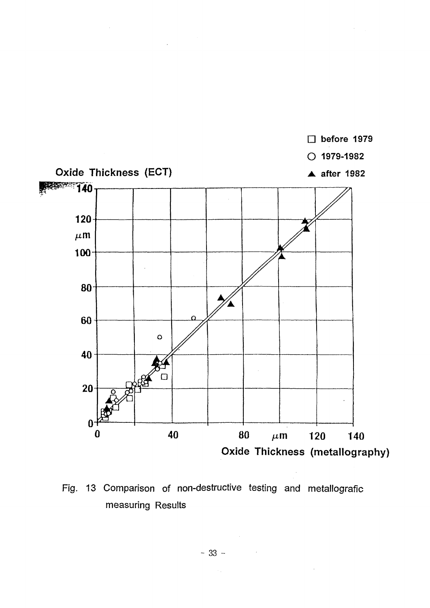

Fig. 13 Comparison of non-destructive testing and metallografic measuring Results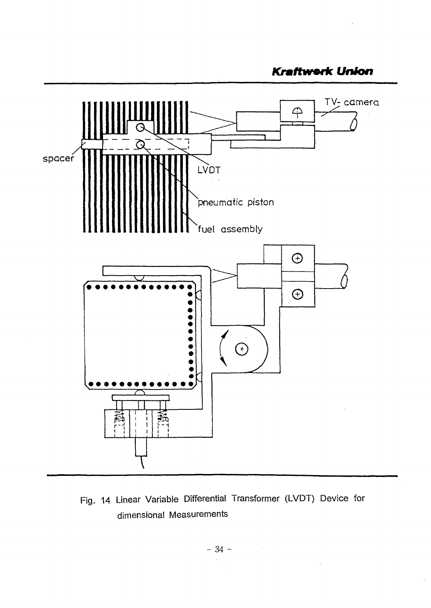**Kraftwork Union** 



Fig. 14 Linear Variable Differential Transformer (LVDT) Device for dimensional Measurements

 $\mathcal{A}^{\mathcal{A}}$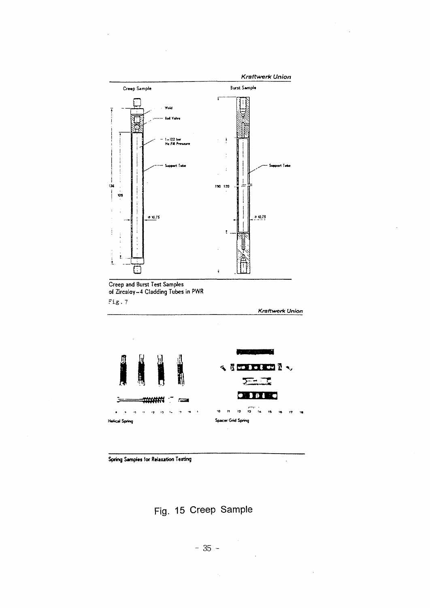

Spring Samples for Relaxation Testing

Fig. 15 Creep Sample

 $\ddot{\phantom{a}}$ 

 $\hat{\boldsymbol{\epsilon}}$ 

 $\mathcal{A}_k$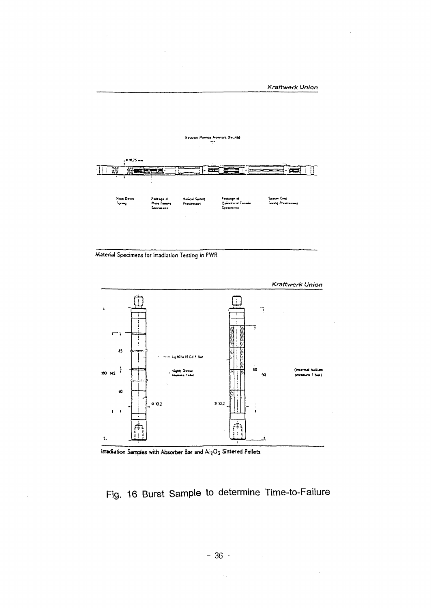

Material Specimens for Irradiation Testing in PWR



Irradiation Samples with Absorber Bar and Al2O3 Sintered Pellets

# Fig. 16 Burst Sample to determine Time-to-Failure

 $\bar{z}$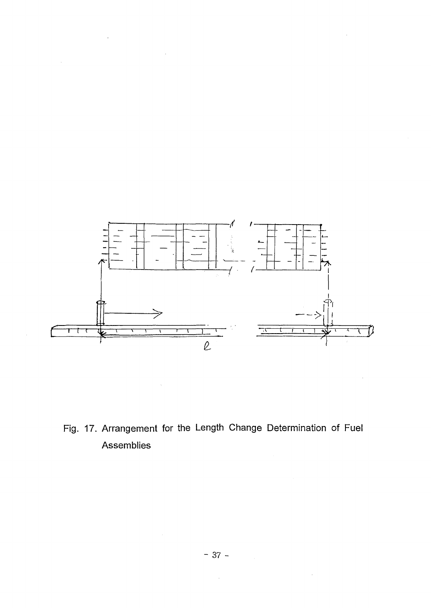

 $\mathcal{L}(\mathcal{L}^{\mathcal{L}})$  and  $\mathcal{L}(\mathcal{L}^{\mathcal{L}})$  and  $\mathcal{L}(\mathcal{L}^{\mathcal{L}})$ 

 $\label{eq:2.1} \frac{1}{\sqrt{2}}\int_{\mathbb{R}^3}\frac{1}{\sqrt{2}}\left(\frac{1}{\sqrt{2}}\right)^2\left(\frac{1}{\sqrt{2}}\right)^2\left(\frac{1}{\sqrt{2}}\right)^2\left(\frac{1}{\sqrt{2}}\right)^2.$ 

Fig. 17. Arrangement for the Length Change Determination of Fuel Assemblies

 $\ddot{\phantom{a}}$ 

 $\sim 10^7$ 

 $\sim 400$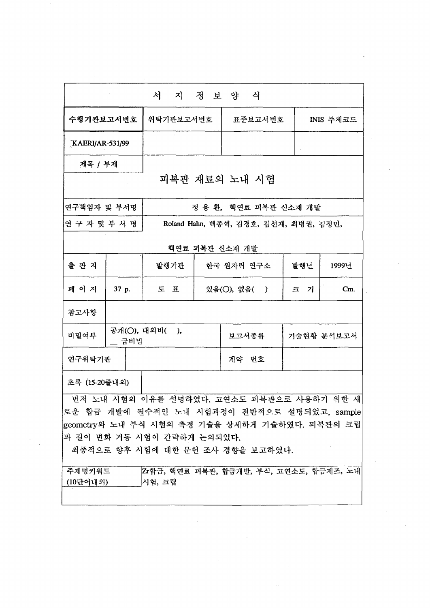| 수행기관보고서번호          |       | 위탁기관보고서번호                  | 표준보고서번호                                                                                                                                     |          | <b>INIS 주제코드</b> |
|--------------------|-------|----------------------------|---------------------------------------------------------------------------------------------------------------------------------------------|----------|------------------|
| KAERI/AR-531/99    |       |                            |                                                                                                                                             |          |                  |
| 제목 / 부제            |       |                            |                                                                                                                                             |          |                  |
|                    |       |                            | 피복관 재료의 노내 시험                                                                                                                               |          |                  |
| 연구책임자 및 부서명        |       |                            | 정 용 환, 핵연료 피복관 신소재 개발                                                                                                                       |          |                  |
| 연구자 및 부서명          |       |                            | Roland Hahn, 백종혁, 김경호, 김선재, 최병권, 김정민,                                                                                                       |          |                  |
|                    |       |                            | 핵연료 피복관 신소재 개발                                                                                                                              |          |                  |
| 출 판 지              |       | 발행기관                       | 한국 원자력 연구소                                                                                                                                  | 발행년      | 1999년            |
| 페 이 지              | 37 p. | 三 五                        | 있음(○), 없음(<br>$\rightarrow$                                                                                                                 | - 기<br>크 | $Cm$ .           |
| 참고사항               |       |                            |                                                                                                                                             |          |                  |
| 비밀여부               | _ 급비밀 | 공개(○), 대외비( ),             | 보고서종류                                                                                                                                       |          | 기술현황 분석보고서       |
| 연구위탁기관             |       |                            | 계약 번호                                                                                                                                       |          |                  |
| 초록 (15-20줄내외)      |       |                            |                                                                                                                                             |          |                  |
|                    |       | 과 길이 변화 거동 시험이 간략하게 논의되었다. | 먼저 노내 시험의 이유를 설명하였다. 고연소도 피복관으로 사용하기 위한 새<br>로운 합금 개발에 필수적인 노내 시험과정이 전반적으로 설명되었고, sample<br> geometry와 노내 부식 시험의 측정 기술을 상세하게 기술하였다. 피복관의 크립 |          |                  |
| 주제명키워드<br>(10단어내외) |       | 시험, 크립                     | 최종적으로 향후 시험에 대한 문헌 조사 경향을 보고하였다.<br>Zr합금, 핵연료 피복관, 합금개발, 부식, 고연소도, 합금제조, 노내                                                                 |          |                  |

 $\label{eq:2.1} \frac{1}{\sqrt{2}}\left(\frac{1}{\sqrt{2}}\right)^{2} \left(\frac{1}{\sqrt{2}}\right)^{2} \left(\frac{1}{\sqrt{2}}\right)^{2} \left(\frac{1}{\sqrt{2}}\right)^{2} \left(\frac{1}{\sqrt{2}}\right)^{2} \left(\frac{1}{\sqrt{2}}\right)^{2} \left(\frac{1}{\sqrt{2}}\right)^{2} \left(\frac{1}{\sqrt{2}}\right)^{2} \left(\frac{1}{\sqrt{2}}\right)^{2} \left(\frac{1}{\sqrt{2}}\right)^{2} \left(\frac{1}{\sqrt{2}}\right)^{2} \left(\$ 

 $\label{eq:2.1} \frac{1}{\sqrt{2\pi}}\sum_{i=1}^n\frac{1}{\sqrt{2\pi}}\int_{\mathbb{R}^n}\frac{1}{\sqrt{2\pi}}\int_{\mathbb{R}^n}\frac{1}{\sqrt{2\pi}}\int_{\mathbb{R}^n}\frac{1}{\sqrt{2\pi}}\int_{\mathbb{R}^n}\frac{1}{\sqrt{2\pi}}\int_{\mathbb{R}^n}\frac{1}{\sqrt{2\pi}}\int_{\mathbb{R}^n}\frac{1}{\sqrt{2\pi}}\int_{\mathbb{R}^n}\frac{1}{\sqrt{2\pi}}\int_{\mathbb{R}^n}\frac{1}{\$ 

 $\label{eq:2.1} \frac{1}{\sqrt{2}}\int_{\mathbb{R}^3}\frac{1}{\sqrt{2}}\left(\frac{1}{\sqrt{2}}\right)^2\frac{1}{\sqrt{2}}\left(\frac{1}{\sqrt{2}}\right)^2\frac{1}{\sqrt{2}}\left(\frac{1}{\sqrt{2}}\right)^2\frac{1}{\sqrt{2}}\left(\frac{1}{\sqrt{2}}\right)^2.$ 

 $\label{eq:2.1} \frac{1}{\sqrt{2}}\int_{0}^{\infty}\frac{1}{\sqrt{2\pi}}\left(\frac{1}{\sqrt{2\pi}}\right)^{2\alpha} \frac{1}{\sqrt{2\pi}}\int_{0}^{\infty}\frac{1}{\sqrt{2\pi}}\left(\frac{1}{\sqrt{2\pi}}\right)^{\alpha} \frac{1}{\sqrt{2\pi}}\frac{1}{\sqrt{2\pi}}\int_{0}^{\infty}\frac{1}{\sqrt{2\pi}}\frac{1}{\sqrt{2\pi}}\frac{1}{\sqrt{2\pi}}\frac{1}{\sqrt{2\pi}}\frac{1}{\sqrt{2\pi}}\frac{1}{\sqrt{2\pi}}$